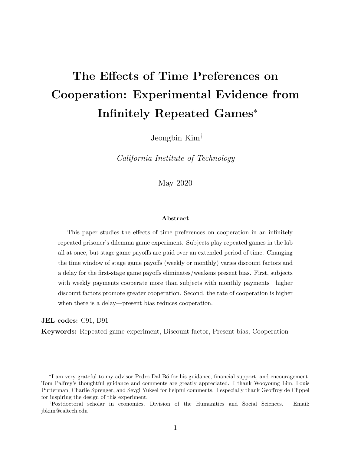# The Effects of Time Preferences on Cooperation: Experimental Evidence from Infinitely Repeated Games<sup>∗</sup>

Jeongbin Kim†

California Institute of Technology

May 2020

#### Abstract

This paper studies the effects of time preferences on cooperation in an infinitely repeated prisoner's dilemma game experiment. Subjects play repeated games in the lab all at once, but stage game payoffs are paid over an extended period of time. Changing the time window of stage game payoffs (weekly or monthly) varies discount factors and a delay for the first-stage game payoffs eliminates/weakens present bias. First, subjects with weekly payments cooperate more than subjects with monthly payments—higher discount factors promote greater cooperation. Second, the rate of cooperation is higher when there is a delay—present bias reduces cooperation.

JEL codes: C91, D91

Keywords: Repeated game experiment, Discount factor, Present bias, Cooperation

<sup>∗</sup> I am very grateful to my advisor Pedro Dal B´o for his guidance, financial support, and encouragement. Tom Palfrey's thoughtful guidance and comments are greatly appreciated. I thank Wooyoung Lim, Louis Putterman, Charlie Sprenger, and Sevgi Yuksel for helpful comments. I especially thank Geoffroy de Clippel for inspiring the design of this experiment.

<sup>†</sup>Postdoctoral scholar in economics, Division of the Humanities and Social Sciences. Email: jbkim@caltech.edu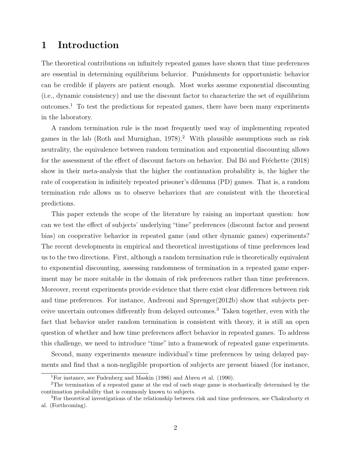## 1 Introduction

The theoretical contributions on infinitely repeated games have shown that time preferences are essential in determining equilibrium behavior. Punishments for opportunistic behavior can be credible if players are patient enough. Most works assume exponential discounting (i.e., dynamic consistency) and use the discount factor to characterize the set of equilibrium outcomes.<sup>1</sup> To test the predictions for repeated games, there have been many experiments in the laboratory.

A random termination rule is the most frequently used way of implementing repeated games in the lab (Roth and Murnighan,  $1978$ ).<sup>2</sup> With plausible assumptions such as risk neutrality, the equivalence between random termination and exponential discounting allows for the assessment of the effect of discount factors on behavior. Dal Bo and Fréchette (2018) show in their meta-analysis that the higher the continuation probability is, the higher the rate of cooperation in infinitely repeated prisoner's dilemma (PD) games. That is, a random termination rule allows us to observe behaviors that are consistent with the theoretical predictions.

This paper extends the scope of the literature by raising an important question: how can we test the effect of subjects' underlying "time" preferences (discount factor and present bias) on cooperative behavior in repeated game (and other dynamic games) experiments? The recent developments in empirical and theoretical investigations of time preferences lead us to the two directions. First, although a random termination rule is theoretically equivalent to exponential discounting, assessing randomness of termination in a repeated game experiment may be more suitable in the domain of risk preferences rather than time preferences. Moreover, recent experiments provide evidence that there exist clear differences between risk and time preferences. For instance, Andreoni and Sprenger(2012b) show that subjects perceive uncertain outcomes differently from delayed outcomes.<sup>3</sup> Taken together, even with the fact that behavior under random termination is consistent with theory, it is still an open question of whether and how time preferences affect behavior in repeated games. To address this challenge, we need to introduce "time" into a framework of repeated game experiments.

Second, many experiments measure individual's time preferences by using delayed payments and find that a non-negligible proportion of subjects are present biased (for instance,

<sup>1</sup>For instance, see Fudenberg and Maskin (1986) and Abreu et al. (1990).

<sup>&</sup>lt;sup>2</sup>The termination of a repeated game at the end of each stage game is stochastically determined by the continuation probability that is commonly known to subjects.

<sup>3</sup>For theoretical investigations of the relationship between risk and time preferences, see Chakraborty et al. (Forthcoming).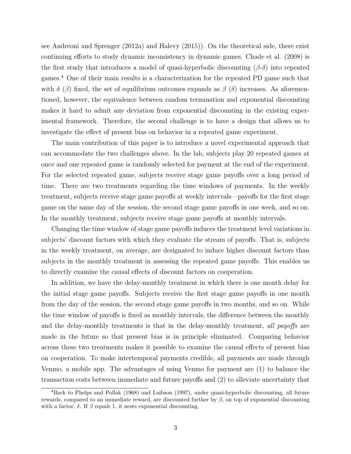see Andreoni and Sprenger (2012a) and Halevy (2015)). On the theoretical side, there exist continuing efforts to study dynamic inconsistency in dynamic games. Chade et al. (2008) is the first study that introduces a model of quasi-hyperbolic discounting  $(\beta-\delta)$  into repeated games.<sup>4</sup> One of their main results is a characterization for the repeated PD game such that with  $\delta$  ( $\beta$ ) fixed, the set of equilibrium outcomes expands as  $\beta$  ( $\delta$ ) increases. As aforementioned, however, the equivalence between random termination and exponential discounting makes it hard to admit any deviation from exponential discounting in the existing experimental framework. Therefore, the second challenge is to have a design that allows us to investigate the effect of present bias on behavior in a repeated game experiment.

The main contribution of this paper is to introduce a novel experimental approach that can accommodate the two challenges above. In the lab, subjects play 20 repeated games at once and one repeated game is randomly selected for payment at the end of the experiment. For the selected repeated game, subjects receive stage game payoffs over a long period of time. There are two treatments regarding the time windows of payments. In the weekly treatment, subjects receive stage game payoffs at weekly intervals—payoffs for the first stage game on the same day of the session, the second stage game payoffs in one week, and so on. In the monthly treatment, subjects receive stage game payoffs at monthly intervals.

Changing the time window of stage game payoffs induces the treatment level variations in subjects' discount factors with which they evaluate the stream of payoffs. That is, subjects in the weekly treatment, on average, are designated to induce higher discount factors than subjects in the monthly treatment in assessing the repeated game payoffs. This enables us to directly examine the causal effects of discount factors on cooperation.

In addition, we have the delay-monthly treatment in which there is one month delay for the initial stage game payoffs. Subjects receive the first stage game payoffs in one month from the day of the session, the second stage game payoffs in two months, and so on. While the time window of payoffs is fixed as monthly intervals, the difference between the monthly and the delay-monthly treatments is that in the delay-monthly treatment, all payoffs are made in the future so that present bias is in principle eliminated. Comparing behavior across these two treatments makes it possible to examine the causal effects of present bias on cooperation. To make intertemporal payments credible, all payments are made through Venmo, a mobile app. The advantages of using Venmo for payment are (1) to balance the transaction costs between immediate and future payoffs and (2) to alleviate uncertainty that

<sup>4</sup>Back to Phelps and Pollak (1968) and Laibson (1997), under quasi-hyperbolic discounting, all future rewards, compared to an immediate reward, are discounted further by  $\beta$ , on top of exponential discounting with a factor,  $\delta$ . If  $\beta$  equals 1, it nests exponential discounting.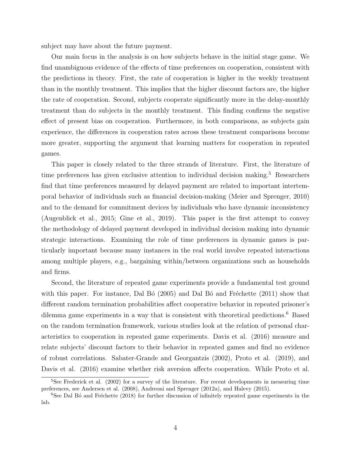subject may have about the future payment.

Our main focus in the analysis is on how subjects behave in the initial stage game. We find unambiguous evidence of the effects of time preferences on cooperation, consistent with the predictions in theory. First, the rate of cooperation is higher in the weekly treatment than in the monthly treatment. This implies that the higher discount factors are, the higher the rate of cooperation. Second, subjects cooperate significantly more in the delay-monthly treatment than do subjects in the monthly treatment. This finding confirms the negative effect of present bias on cooperation. Furthermore, in both comparisons, as subjects gain experience, the differences in cooperation rates across these treatment comparisons become more greater, supporting the argument that learning matters for cooperation in repeated games.

This paper is closely related to the three strands of literature. First, the literature of time preferences has given exclusive attention to individual decision making.<sup>5</sup> Researchers find that time preferences measured by delayed payment are related to important intertemporal behavior of individuals such as financial decision-making (Meier and Sprenger, 2010) and to the demand for commitment devices by individuals who have dynamic inconsistency (Augenblick et al., 2015; Gine et al., 2019). This paper is the first attempt to convey the methodology of delayed payment developed in individual decision making into dynamic strategic interactions. Examining the role of time preferences in dynamic games is particularly important because many instances in the real world involve repeated interactions among multiple players, e.g., bargaining within/between organizations such as households and firms.

Second, the literature of repeated game experiments provide a fundamental test ground with this paper. For instance, Dal B $\acute{o}$  (2005) and Dal B $\acute{o}$  and Fréchette (2011) show that different random termination probabilities affect cooperative behavior in repeated prisoner's dilemma game experiments in a way that is consistent with theoretical predictions.<sup>6</sup> Based on the random termination framework, various studies look at the relation of personal characteristics to cooperation in repeated game experiments. Davis et al. (2016) measure and relate subjects' discount factors to their behavior in repeated games and find no evidence of robust correlations. Sabater-Grande and Georgantzis (2002), Proto et al. (2019), and Davis et al. (2016) examine whether risk aversion affects cooperation. While Proto et al.

<sup>&</sup>lt;sup>5</sup>See Frederick et al. (2002) for a survey of the literature. For recent developments in measuring time preferences, see Andersen et al. (2008), Andreoni and Sprenger (2012a), and Halevy (2015).

 $6$ See Dal Bó and Fréchette (2018) for further discussion of infinitely repeated game experiments in the lab.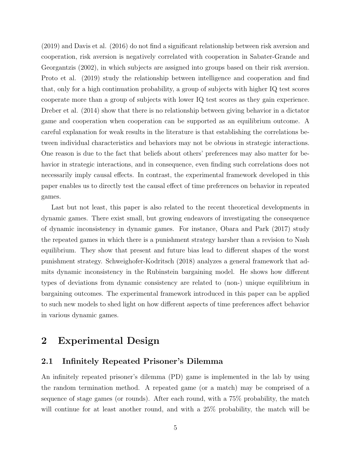(2019) and Davis et al. (2016) do not find a significant relationship between risk aversion and cooperation, risk aversion is negatively correlated with cooperation in Sabater-Grande and Georgantzis (2002), in which subjects are assigned into groups based on their risk aversion. Proto et al. (2019) study the relationship between intelligence and cooperation and find that, only for a high continuation probability, a group of subjects with higher IQ test scores cooperate more than a group of subjects with lower IQ test scores as they gain experience. Dreber et al.  $(2014)$  show that there is no relationship between giving behavior in a dictator game and cooperation when cooperation can be supported as an equilibrium outcome. A careful explanation for weak results in the literature is that establishing the correlations between individual characteristics and behaviors may not be obvious in strategic interactions. One reason is due to the fact that beliefs about others' preferences may also matter for behavior in strategic interactions, and in consequence, even finding such correlations does not necessarily imply causal effects. In contrast, the experimental framework developed in this paper enables us to directly test the causal effect of time preferences on behavior in repeated games.

Last but not least, this paper is also related to the recent theoretical developments in dynamic games. There exist small, but growing endeavors of investigating the consequence of dynamic inconsistency in dynamic games. For instance, Obara and Park (2017) study the repeated games in which there is a punishment strategy harsher than a revision to Nash equilibrium. They show that present and future bias lead to different shapes of the worst punishment strategy. Schweighofer-Kodritsch (2018) analyzes a general framework that admits dynamic inconsistency in the Rubinstein bargaining model. He shows how different types of deviations from dynamic consistency are related to (non-) unique equilibrium in bargaining outcomes. The experimental framework introduced in this paper can be applied to such new models to shed light on how different aspects of time preferences affect behavior in various dynamic games.

## 2 Experimental Design

#### 2.1 Infinitely Repeated Prisoner's Dilemma

An infinitely repeated prisoner's dilemma (PD) game is implemented in the lab by using the random termination method. A repeated game (or a match) may be comprised of a sequence of stage games (or rounds). After each round, with a 75% probability, the match will continue for at least another round, and with a  $25\%$  probability, the match will be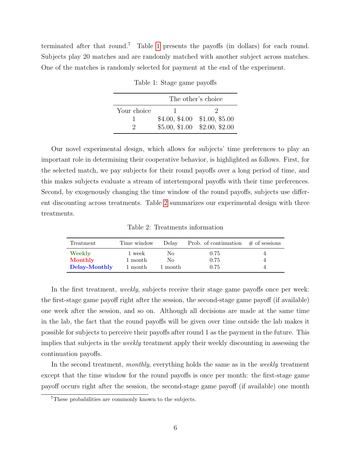<span id="page-5-0"></span>terminated after that round.<sup>7</sup> Table [1](#page-5-0) presents the payoffs (in dollars) for each round. Subjects play 20 matches and are randomly matched with another subject across matches. One of the matches is randomly selected for payment at the end of the experiment.

|             | The other's choice |                               |  |
|-------------|--------------------|-------------------------------|--|
| Your choice |                    |                               |  |
|             |                    | $$4.00, $4.00$ \$1.00, \$5.00 |  |
| э.          |                    | $$5.00, $1.00 \$2.00, $2.00$  |  |

Table 1: Stage game payoffs

Our novel experimental design, which allows for subjects' time preferences to play an important role in determining their cooperative behavior, is highlighted as follows. First, for the selected match, we pay subjects for their round payoffs over a long period of time, and this makes subjects evaluate a stream of intertemporal payoffs with their time preferences. Second, by exogenously changing the time window of the round payoffs, subjects use different discounting across treatments. Table [2](#page-5-1) summarizes our experimental design with three treatments.

Table 2: Treatments information

<span id="page-5-1"></span>

| Treatment                | Time window        | Delay         | Prob. of continuation $\#$ of sessions |  |
|--------------------------|--------------------|---------------|----------------------------------------|--|
| Weekly                   | 1 week             | No.           | 0.75                                   |  |
| Monthly<br>Delay-Monthly | 1 month<br>1 month | No<br>1 month | 0.75<br>0.75                           |  |

In the first treatment, weekly, subjects receive their stage game payoffs once per week: the first-stage game payoff right after the session, the second-stage game payoff (if available) one week after the session, and so on. Although all decisions are made at the same time in the lab, the fact that the round payoffs will be given over time outside the lab makes it possible for subjects to perceive their payoffs after round 1 as the payment in the future. This implies that subjects in the weekly treatment apply their weekly discounting in assessing the continuation payoffs.

In the second treatment, *monthly*, everything holds the same as in the *weekly* treatment except that the time window for the round payoffs is once per month: the first-stage game payoff occurs right after the session, the second-stage game payoff (if available) one month

<sup>7</sup>These probabilities are commonly known to the subjects.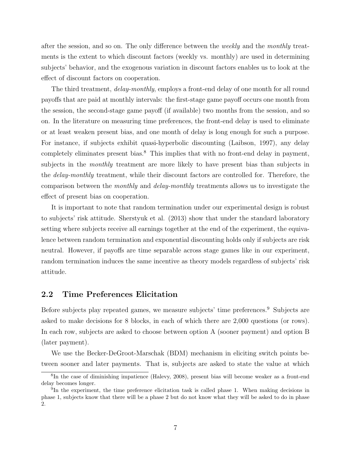after the session, and so on. The only difference between the weekly and the monthly treatments is the extent to which discount factors (weekly vs. monthly) are used in determining subjects' behavior, and the exogenous variation in discount factors enables us to look at the effect of discount factors on cooperation.

The third treatment, *delay-monthly*, employs a front-end delay of one month for all round payoffs that are paid at monthly intervals: the first-stage game payoff occurs one month from the session, the second-stage game payoff (if available) two months from the session, and so on. In the literature on measuring time preferences, the front-end delay is used to eliminate or at least weaken present bias, and one month of delay is long enough for such a purpose. For instance, if subjects exhibit quasi-hyperbolic discounting (Laibson, 1997), any delay completely eliminates present bias.<sup>8</sup> This implies that with no front-end delay in payment, subjects in the *monthly* treatment are more likely to have present bias than subjects in the delay-monthly treatment, while their discount factors are controlled for. Therefore, the comparison between the monthly and delay-monthly treatments allows us to investigate the effect of present bias on cooperation.

It is important to note that random termination under our experimental design is robust to subjects' risk attitude. Sherstyuk et al. (2013) show that under the standard laboratory setting where subjects receive all earnings together at the end of the experiment, the equivalence between random termination and exponential discounting holds only if subjects are risk neutral. However, if payoffs are time separable across stage games like in our experiment, random termination induces the same incentive as theory models regardless of subjects' risk attitude.

#### 2.2 Time Preferences Elicitation

Before subjects play repeated games, we measure subjects' time preferences.<sup>9</sup> Subjects are asked to make decisions for 8 blocks, in each of which there are 2,000 questions (or rows). In each row, subjects are asked to choose between option A (sooner payment) and option B (later payment).

We use the Becker-DeGroot-Marschak (BDM) mechanism in eliciting switch points between sooner and later payments. That is, subjects are asked to state the value at which

<sup>8</sup> In the case of diminishing impatience (Halevy, 2008), present bias will become weaker as a front-end delay becomes longer.

<sup>&</sup>lt;sup>9</sup>In the experiment, the time preference elicitation task is called phase 1. When making decisions in phase 1, subjects know that there will be a phase 2 but do not know what they will be asked to do in phase 2.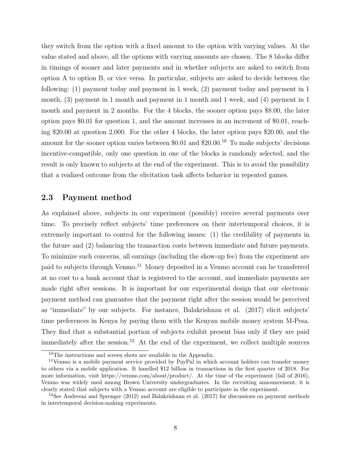they switch from the option with a fixed amount to the option with varying values. At the value stated and above, all the options with varying amounts are chosen. The 8 blocks differ in timings of sooner and later payments and in whether subjects are asked to switch from option A to option B, or vice versa. In particular, subjects are asked to decide between the following: (1) payment today and payment in 1 week, (2) payment today and payment in 1 month, (3) payment in 1 month and payment in 1 month and 1 week, and (4) payment in 1 month and payment in 2 months. For the 4 blocks, the sooner option pays \$8.00, the later option pays \$0.01 for question 1, and the amount increases in an increment of \$0.01, reaching \$20.00 at question 2,000. For the other 4 blocks, the later option pays \$20.00, and the amount for the sooner option varies between \$0.01 and  $20.00<sup>10</sup>$  To make subjects' decisions incentive-compatible, only one question in one of the blocks is randomly selected, and the result is only known to subjects at the end of the experiment. This is to avoid the possibility that a realized outcome from the elicitation task affects behavior in repeated games.

#### 2.3 Payment method

As explained above, subjects in our experiment (possibly) receive several payments over time. To precisely reflect subjects' time preferences on their intertemporal choices, it is extremely important to control for the following issues: (1) the credibility of payments in the future and (2) balancing the transaction costs between immediate and future payments. To minimize such concerns, all earnings (including the show-up fee) from the experiment are paid to subjects through Venmo.<sup>11</sup> Money deposited in a Venmo account can be transferred at no cost to a bank account that is registered to the account, and immediate payments are made right after sessions. It is important for our experimental design that our electronic payment method can guarantee that the payment right after the session would be perceived as "immediate" by our subjects. For instance, Balakrishnan et al. (2017) elicit subjects' time preferences in Kenya by paying them with the Kenyan mobile money system M-Pesa. They find that a substantial portion of subjects exhibit present bias only if they are paid immediately after the session.<sup>12</sup> At the end of the experiment, we collect multiple sources

<sup>10</sup>The instructions and screen shots are available in the Appendix.

<sup>11</sup>Venmo is a mobile payment service provided by PayPal in which account holders can transfer money to others via a mobile application. It handled \$12 billion in transactions in the first quarter of 2018. For more information, visit https://venmo.com/about/product/. At the time of the experiment (fall of 2016), Venmo was widely used among Brown University undergraduates. In the recruiting announcement, it is clearly stated that subjects with a Venmo account are eligible to participate in the experiment.

<sup>&</sup>lt;sup>12</sup>See Andreoni and Sprenger  $(2012)$  and Balakrishnan et al.  $(2017)$  for discussions on payment methods in intertemporal decision-making experiments.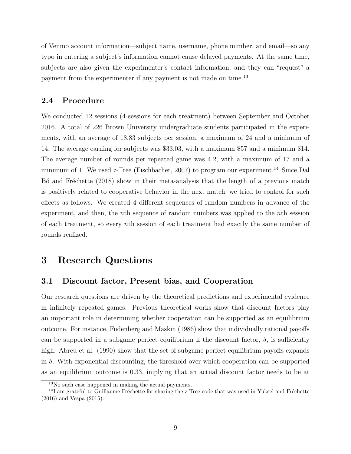of Venmo account information—subject name, username, phone number, and email—so any typo in entering a subject's information cannot cause delayed payments. At the same time, subjects are also given the experimenter's contact information, and they can "request" a payment from the experimenter if any payment is not made on time.<sup>13</sup>

#### 2.4 Procedure

We conducted 12 sessions (4 sessions for each treatment) between September and October 2016. A total of 226 Brown University undergraduate students participated in the experiments, with an average of 18.83 subjects per session, a maximum of 24 and a minimum of 14. The average earning for subjects was \$33.03, with a maximum \$57 and a minimum \$14. The average number of rounds per repeated game was 4.2, with a maximum of 17 and a minimum of 1. We used z-Tree (Fischbacher, 2007) to program our experiment.<sup>14</sup> Since Dal Bó and Fréchette (2018) show in their meta-analysis that the length of a previous match is positively related to cooperative behavior in the next match, we tried to control for such effects as follows. We created 4 different sequences of random numbers in advance of the experiment, and then, the *n*th sequence of random numbers was applied to the *n*th session of each treatment, so every nth session of each treatment had exactly the same number of rounds realized.

## 3 Research Questions

#### 3.1 Discount factor, Present bias, and Cooperation

Our research questions are driven by the theoretical predictions and experimental evidence in infinitely repeated games. Previous theoretical works show that discount factors play an important role in determining whether cooperation can be supported as an equilibrium outcome. For instance, Fudenberg and Maskin (1986) show that individually rational payoffs can be supported in a subgame perfect equilibrium if the discount factor,  $\delta$ , is sufficiently high. Abreu et al. (1990) show that the set of subgame perfect equilibrium payoffs expands in  $\delta$ . With exponential discounting, the threshold over which cooperation can be supported as an equilibrium outcome is 0.33, implying that an actual discount factor needs to be at

<sup>13</sup>No such case happened in making the actual payments.

 $14$ I am grateful to Guillaume Fréchette for sharing the z-Tree code that was used in Yuksel and Fréchette (2016) and Vespa (2015).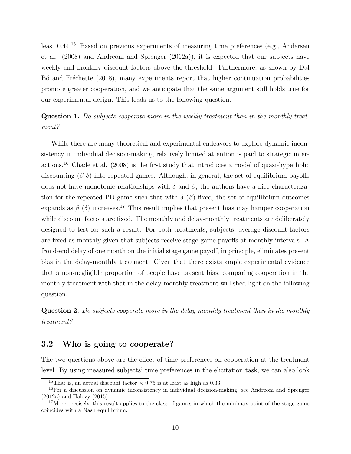least 0.44.<sup>15</sup> Based on previous experiments of measuring time preferences (e.g., Andersen et al. (2008) and Andreoni and Sprenger (2012a)), it is expected that our subjects have weekly and monthly discount factors above the threshold. Furthermore, as shown by Dal B<sup>o</sup> and Fréchette (2018), many experiments report that higher continuation probabilities promote greater cooperation, and we anticipate that the same argument still holds true for our experimental design. This leads us to the following question.

Question 1. Do subjects cooperate more in the weekly treatment than in the monthly treatment?

While there are many theoretical and experimental endeavors to explore dynamic inconsistency in individual decision-making, relatively limited attention is paid to strategic interactions.<sup>16</sup> Chade et al.  $(2008)$  is the first study that introduces a model of quasi-hyperbolic discounting  $(\beta-\delta)$  into repeated games. Although, in general, the set of equilibrium payoffs does not have monotonic relationships with  $\delta$  and  $\beta$ , the authors have a nice characterization for the repeated PD game such that with  $\delta(\beta)$  fixed, the set of equilibrium outcomes expands as  $\beta$  (δ) increases.<sup>17</sup> This result implies that present bias may hamper cooperation while discount factors are fixed. The monthly and delay-monthly treatments are deliberately designed to test for such a result. For both treatments, subjects' average discount factors are fixed as monthly given that subjects receive stage game payoffs at monthly intervals. A frond-end delay of one month on the initial stage game payoff, in principle, eliminates present bias in the delay-monthly treatment. Given that there exists ample experimental evidence that a non-negligible proportion of people have present bias, comparing cooperation in the monthly treatment with that in the delay-monthly treatment will shed light on the following question.

Question 2. Do subjects cooperate more in the delay-monthly treatment than in the monthly treatment?

#### 3.2 Who is going to cooperate?

The two questions above are the effect of time preferences on cooperation at the treatment level. By using measured subjects' time preferences in the elicitation task, we can also look

<sup>&</sup>lt;sup>15</sup>That is, an actual discount factor  $\times$  0.75 is at least as high as 0.33.

<sup>16</sup>For a discussion on dynamic inconsistency in individual decision-making, see Andreoni and Sprenger (2012a) and Halevy (2015).

<sup>&</sup>lt;sup>17</sup>More precisely, this result applies to the class of games in which the minimax point of the stage game coincides with a Nash equilibrium.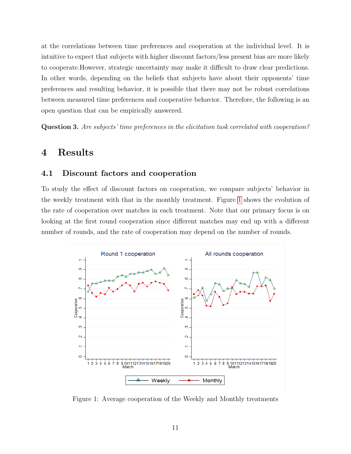at the correlations between time preferences and cooperation at the individual level. It is intuitive to expect that subjects with higher discount factors/less present bias are more likely to cooperate.However, strategic uncertainty may make it difficult to draw clear predictions. In other words, depending on the beliefs that subjects have about their opponents' time preferences and resulting behavior, it is possible that there may not be robust correlations between measured time preferences and cooperative behavior. Therefore, the following is an open question that can be empirically answered.

Question 3. Are subjects' time preferences in the elicitation task correlated with cooperation?

## 4 Results

#### 4.1 Discount factors and cooperation

To study the effect of discount factors on cooperation, we compare subjects' behavior in the weekly treatment with that in the monthly treatment. Figure [1](#page-10-0) shows the evolution of the rate of cooperation over matches in each treatment. Note that our primary focus is on looking at the first round cooperation since different matches may end up with a different number of rounds, and the rate of cooperation may depend on the number of rounds.

<span id="page-10-0"></span>

Figure 1: Average cooperation of the Weekly and Monthly treatments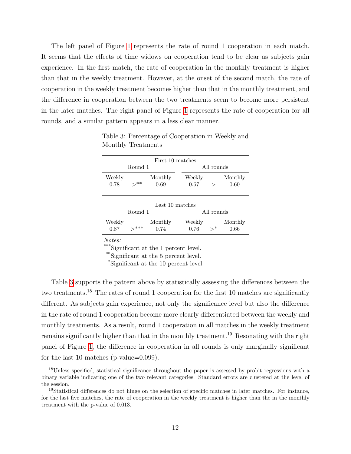The left panel of Figure [1](#page-10-0) represents the rate of round 1 cooperation in each match. It seems that the effects of time widows on cooperation tend to be clear as subjects gain experience. In the first match, the rate of cooperation in the monthly treatment is higher than that in the weekly treatment. However, at the onset of the second match, the rate of cooperation in the weekly treatment becomes higher than that in the monthly treatment, and the difference in cooperation between the two treatments seem to become more persistent in the later matches. The right panel of Figure [1](#page-10-0) represents the rate of cooperation for all rounds, and a similar pattern appears in a less clear manner.

|                                          | First 10 matches |                 |                |                 |                 |
|------------------------------------------|------------------|-----------------|----------------|-----------------|-----------------|
|                                          | Round 1          |                 |                | All rounds      |                 |
| Weekly<br>0.78                           | $>***$           | Monthly<br>0.69 | Weekly<br>0.67 | $\rm{>}$        | Monthly<br>0.60 |
| Last 10 matches<br>All rounds<br>Round 1 |                  |                 |                |                 |                 |
| Weekly<br>0.87                           | —***             | Monthly<br>0.74 | Weekly<br>0.76 | $\rightarrow^*$ | Monthly<br>0.66 |

<span id="page-11-0"></span>Table 3: Percentage of Cooperation in Weekly and Monthly Treatments

Notes:

\*\*\*Significant at the 1 percent level.

\*\*Significant at the 5 percent level.

\*Significant at the 10 percent level.

Table [3](#page-11-0) supports the pattern above by statistically assessing the differences between the two treatments.<sup>18</sup> The rates of round 1 cooperation for the first 10 matches are significantly different. As subjects gain experience, not only the significance level but also the difference in the rate of round 1 cooperation become more clearly differentiated between the weekly and monthly treatments. As a result, round 1 cooperation in all matches in the weekly treatment remains significantly higher than that in the monthly treatment.<sup>19</sup> Resonating with the right panel of Figure [1,](#page-10-0) the difference in cooperation in all rounds is only marginally significant for the last 10 matches (p-value=0.099).

<sup>18</sup>Unless specified, statistical significance throughout the paper is assessed by probit regressions with a binary variable indicating one of the two relevant categories. Standard errors are clustered at the level of the session.

<sup>19</sup>Statistical differences do not hinge on the selection of specific matches in later matches. For instance, for the last five matches, the rate of cooperation in the weekly treatment is higher than the in the monthly treatment with the p-value of 0.013.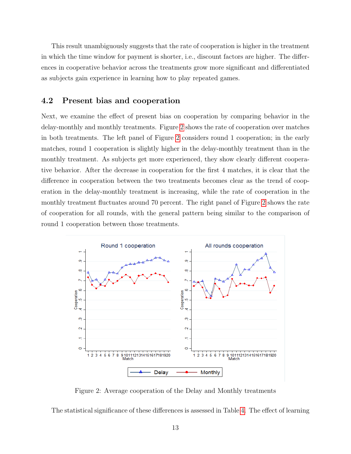This result unambiguously suggests that the rate of cooperation is higher in the treatment in which the time window for payment is shorter, i.e., discount factors are higher. The differences in cooperative behavior across the treatments grow more significant and differentiated as subjects gain experience in learning how to play repeated games.

#### 4.2 Present bias and cooperation

Next, we examine the effect of present bias on cooperation by comparing behavior in the delay-monthly and monthly treatments. Figure [2](#page-12-0) shows the rate of cooperation over matches in both treatments. The left panel of Figure [2](#page-12-0) considers round 1 cooperation; in the early matches, round 1 cooperation is slightly higher in the delay-monthly treatment than in the monthly treatment. As subjects get more experienced, they show clearly different cooperative behavior. After the decrease in cooperation for the first 4 matches, it is clear that the difference in cooperation between the two treatments becomes clear as the trend of cooperation in the delay-monthly treatment is increasing, while the rate of cooperation in the monthly treatment fluctuates around 70 percent. The right panel of Figure [2](#page-12-0) shows the rate of cooperation for all rounds, with the general pattern being similar to the comparison of round 1 cooperation between those treatments.

<span id="page-12-0"></span>

Figure 2: Average cooperation of the Delay and Monthly treatments

The statistical significance of these differences is assessed in Table [4.](#page-13-0) The effect of learning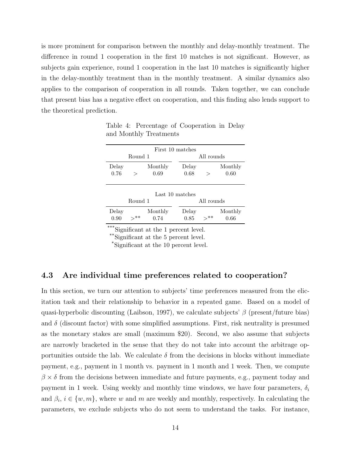is more prominent for comparison between the monthly and delay-monthly treatment. The difference in round 1 cooperation in the first 10 matches is not significant. However, as subjects gain experience, round 1 cooperation in the last 10 matches is significantly higher in the delay-monthly treatment than in the monthly treatment. A similar dynamics also applies to the comparison of cooperation in all rounds. Taken together, we can conclude that present bias has a negative effect on cooperation, and this finding also lends support to the theoretical prediction.

|                 |         | First 10 matches |               |            |                 |
|-----------------|---------|------------------|---------------|------------|-----------------|
|                 | Round 1 |                  |               | All rounds |                 |
| Delay<br>0.76   |         | Monthly<br>0.69  | Delay<br>0.68 | $\rm{>}$   | Monthly<br>0.60 |
| Last 10 matches |         |                  |               |            |                 |

<span id="page-13-0"></span>Table 4: Percentage of Cooperation in Delay and Monthly Treatments

| Last 10 matches |         |         |  |       |            |         |
|-----------------|---------|---------|--|-------|------------|---------|
|                 | Round 1 |         |  |       | All rounds |         |
| Delay           |         | Monthly |  | Delay |            | Monthly |
| 0.90            | '>**    | 0.74    |  | 0.85  | $>^{**}$   | 0.66    |

Significant at the 1 percent level.

\*\*Significant at the 5 percent level.

\*Significant at the 10 percent level.

#### 4.3 Are individual time preferences related to cooperation?

In this section, we turn our attention to subjects' time preferences measured from the elicitation task and their relationship to behavior in a repeated game. Based on a model of quasi-hyperbolic discounting (Laibson, 1997), we calculate subjects'  $\beta$  (present/future bias) and  $\delta$  (discount factor) with some simplified assumptions. First, risk neutrality is presumed as the monetary stakes are small (maximum \$20). Second, we also assume that subjects are narrowly bracketed in the sense that they do not take into account the arbitrage opportunities outside the lab. We calculate  $\delta$  from the decisions in blocks without immediate payment, e.g., payment in 1 month vs. payment in 1 month and 1 week. Then, we compute  $\beta \times \delta$  from the decisions between immediate and future payments, e.g., payment today and payment in 1 week. Using weekly and monthly time windows, we have four parameters,  $\delta_i$ and  $\beta_i, i \in \{w, m\}$ , where w and m are weekly and monthly, respectively. In calculating the parameters, we exclude subjects who do not seem to understand the tasks. For instance,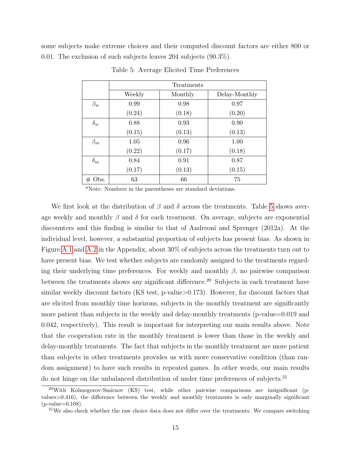<span id="page-14-0"></span>some subjects make extreme choices and their computed discount factors are either 800 or 0.01. The exclusion of such subjects leaves 204 subjects (90.3%).

|            | <b>Treatments</b> |         |               |  |
|------------|-------------------|---------|---------------|--|
|            | Weekly            | Monthly | Delay-Monthly |  |
| $\beta_w$  | 0.99              | 0.98    | 0.97          |  |
|            | (0.24)            | (0.18)  | (0.20)        |  |
| $\delta_w$ | 0.88              | 0.93    | 0.90          |  |
|            | (0.15)            | (0.13)  | (0.13)        |  |
| $\beta_m$  | 1.05              | 0.96    | 1.00          |  |
|            | (0.22)            | (0.17)  | (0.18)        |  |
| $\delta_m$ | 0.84              | 0.91    | 0.87          |  |
|            | (0.17)            | (0.13)  | (0.15)        |  |
| $\#$ Obs.  | 63                | 66      | 75            |  |

Table 5: Average Elicited Time Preferences

\*Note: Numbers in the parentheses are standard deviations.

We first look at the distribution of  $\beta$  and  $\delta$  across the treatments. Table [5](#page-14-0) shows average weekly and monthly  $\beta$  and  $\delta$  for each treatment. On average, subjects are exponential discounters and this finding is similar to that of Andreoni and Sprenger (2012a). At the individual level, however, a substantial proportion of subjects has present bias. As shown in Figure [A.1](#page-26-0) and [A.2](#page-27-0) in the Appendix, about 30% of subjects across the treatments turn out to have present bias. We test whether subjects are randomly assigned to the treatments regarding their underlying time preferences. For weekly and monthly  $\beta$ , no pairwise comparison between the treatments shows any significant difference.<sup>20</sup> Subjects in each treatment have similar weekly discount factors (KS test, p-value>0.173). However, for discount factors that are elicited from monthly time horizons, subjects in the monthly treatment are significantly more patient than subjects in the weekly and delay-monthly treatments (p-value=0.019 and 0.042, respectively). This result is important for interpreting our main results above. Note that the cooperation rate in the monthly treatment is lower than those in the weekly and delay-monthly treatments. The fact that subjects in the monthly treatment are more patient than subjects in other treatments provides us with more conservative condition (than random assignment) to have such results in repeated games. In other words, our main results do not hinge on the unbalanced distribution of under time preferences of subjects.<sup>21</sup>

<sup>20</sup>With Kolmogorov-Smirnov (KS) test, while other pairwise comparisons are insignificant (pvalues>0.416), the difference between the weekly and monthly treatments is only marginally significant  $(p-value=0.108)$ .

<sup>&</sup>lt;sup>21</sup>We also check whether the raw choice data does not differ over the treatments. We compare switching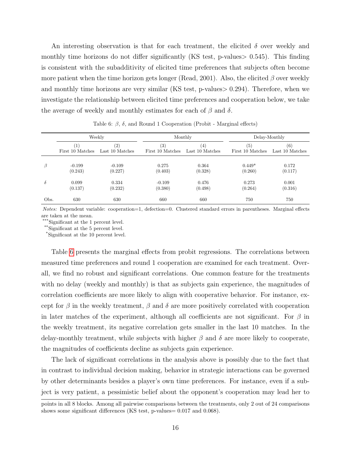An interesting observation is that for each treatment, the elicited  $\delta$  over weekly and monthly time horizons do not differ significantly (KS test, p-values > 0.545). This finding is consistent with the subadditivity of elicited time preferences that subjects often become more patient when the time horizon gets longer (Read, 2001). Also, the elicited  $\beta$  over weekly and monthly time horizons are very similar (KS test, p-values $> 0.294$ ). Therefore, when we investigate the relationship between elicited time preferences and cooperation below, we take the average of weekly and monthly estimates for each of  $\beta$  and  $\delta$ .

<span id="page-15-0"></span>

|          |                  | Weekly            |                  | Monthly         |                   | Delay-Monthly   |
|----------|------------------|-------------------|------------------|-----------------|-------------------|-----------------|
|          | $\left(1\right)$ | $\left( 2\right)$ | (3)              | $^{(4)}$        | $\left( 5\right)$ | (6)             |
|          | First 10 Matches | Last 10 Matches   | First 10 Matches | Last 10 Matches | First 10 Matches  | Last 10 Matches |
| β        | $-0.199$         | $-0.109$          | 0.275            | 0.364           | $0.449*$          | 0.172           |
|          | (0.243)          | (0.227)           | (0.403)          | (0.328)         | (0.260)           | (0.117)         |
| $\delta$ | 0.099            | 0.334             | $-0.109$         | 0.476           | 0.273             | 0.001           |
|          | (0.137)          | (0.232)           | (0.380)          | (0.498)         | (0.264)           | (0.316)         |
| Obs.     | 630              | 630               | 660              | 660             | 750               | 750             |

Table 6:  $\beta$ ,  $\delta$ , and Round 1 Cooperation (Probit - Marginal effects)

Notes: Dependent variable: cooperation=1, defection=0. Clustered standard errors in parentheses. Marginal effects are taken at the mean.

\*\*\*Significant at the 1 percent level.

\*\*Significant at the 5 percent level.

\*Significant at the 10 percent level.

Table [6](#page-15-0) presents the marginal effects from probit regressions. The correlations between measured time preferences and round 1 cooperation are examined for each treatment. Overall, we find no robust and significant correlations. One common feature for the treatments with no delay (weekly and monthly) is that as subjects gain experience, the magnitudes of correlation coefficients are more likely to align with cooperative behavior. For instance, except for  $\beta$  in the weekly treatment,  $\beta$  and  $\delta$  are more positively correlated with cooperation in later matches of the experiment, although all coefficients are not significant. For  $\beta$  in the weekly treatment, its negative correlation gets smaller in the last 10 matches. In the delay-monthly treatment, while subjects with higher  $\beta$  and  $\delta$  are more likely to cooperate, the magnitudes of coefficients decline as subjects gain experience.

The lack of significant correlations in the analysis above is possibly due to the fact that in contrast to individual decision making, behavior in strategic interactions can be governed by other determinants besides a player's own time preferences. For instance, even if a subject is very patient, a pessimistic belief about the opponent's cooperation may lead her to

points in all 8 blocks. Among all pairwise comparisons between the treatments, only 2 out of 24 comparisons shows some significant differences (KS test, p-values= 0.017 and 0.068).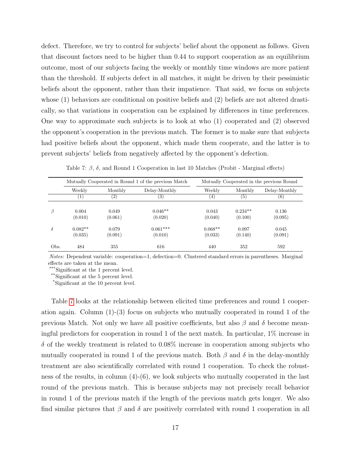defect. Therefore, we try to control for subjects' belief about the opponent as follows. Given that discount factors need to be higher than 0.44 to support cooperation as an equilibrium outcome, most of our subjects facing the weekly or monthly time windows are more patient than the threshold. If subjects defect in all matches, it might be driven by their pessimistic beliefs about the opponent, rather than their impatience. That said, we focus on subjects whose (1) behaviors are conditional on positive beliefs and (2) beliefs are not altered drastically, so that variations in cooperation can be explained by differences in time preferences. One way to approximate such subjects is to look at who (1) cooperated and (2) observed the opponent's cooperation in the previous match. The former is to make sure that subjects had positive beliefs about the opponent, which made them cooperate, and the latter is to prevent subjects' beliefs from negatively affected by the opponent's defection.

<span id="page-16-0"></span>

|          | Mutually Cooperated in Round 1 of the previous Match |                   |                       | Mutually Cooperated in the previous Round |                      |                  |
|----------|------------------------------------------------------|-------------------|-----------------------|-------------------------------------------|----------------------|------------------|
|          | Weekly                                               | Monthly           | Delay-Monthly         | Weekly                                    | Monthly              | Delay-Monthly    |
|          | 1.                                                   | $\left( 2\right)$ | (3)                   | $^{(4)}$                                  | $\left( 5\right)$    | (6)              |
| $\beta$  | 0.004<br>(0.010)                                     | 0.049<br>(0.061)  | $0.046**$<br>(0.020)  | 0.043<br>(0.040)                          | $0.234**$<br>(0.100) | 0.136<br>(0.095) |
| $\delta$ | $0.082**$<br>(0.035)                                 | 0.079<br>(0.091)  | $0.061***$<br>(0.010) | $0.068**$<br>(0.033)                      | 0.097<br>(0.140)     | 0.045<br>(0.091) |
| Obs.     | 484                                                  | 355               | 616                   | 440                                       | 352                  | 592              |

Table 7:  $\beta$ ,  $\delta$ , and Round 1 Cooperation in last 10 Matches (Probit - Marginal effects)

Notes: Dependent variable: cooperation=1, defection=0. Clustered standard errors in parentheses. Marginal effects are taken at the mean.

\*\*\*Significant at the 1 percent level.

\*\*Significant at the 5 percent level.

\*Significant at the 10 percent level.

Table [7](#page-16-0) looks at the relationship between elicited time preferences and round 1 cooperation again. Column (1)-(3) focus on subjects who mutually cooperated in round 1 of the previous Match. Not only we have all positive coefficients, but also  $\beta$  and  $\delta$  become meaningful predictors for cooperation in round 1 of the next match. In particular, 1% increase in  $\delta$  of the weekly treatment is related to 0.08% increase in cooperation among subjects who mutually cooperated in round 1 of the previous match. Both  $\beta$  and  $\delta$  in the delay-monthly treatment are also scientifically correlated with round 1 cooperation. To check the robustness of the results, in column (4)-(6), we look subjects who mutually cooperated in the last round of the previous match. This is because subjects may not precisely recall behavior in round 1 of the previous match if the length of the previous match gets longer. We also find similar pictures that  $\beta$  and  $\delta$  are positively correlated with round 1 cooperation in all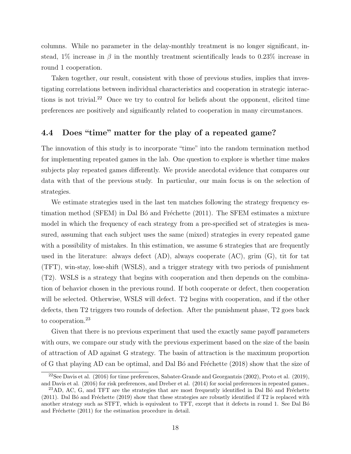columns. While no parameter in the delay-monthly treatment is no longer significant, instead, 1% increase in  $\beta$  in the monthly treatment scientifically leads to 0.23% increase in round 1 cooperation.

Taken together, our result, consistent with those of previous studies, implies that investigating correlations between individual characteristics and cooperation in strategic interactions is not trivial.<sup>22</sup> Once we try to control for beliefs about the opponent, elicited time preferences are positively and significantly related to cooperation in many circumstances.

### 4.4 Does "time" matter for the play of a repeated game?

The innovation of this study is to incorporate "time" into the random termination method for implementing repeated games in the lab. One question to explore is whether time makes subjects play repeated games differently. We provide anecdotal evidence that compares our data with that of the previous study. In particular, our main focus is on the selection of strategies.

We estimate strategies used in the last ten matches following the strategy frequency estimation method (SFEM) in Dal B $\acute{o}$  and Fréchette (2011). The SFEM estimates a mixture model in which the frequency of each strategy from a pre-specified set of strategies is measured, assuming that each subject uses the same (mixed) strategies in every repeated game with a possibility of mistakes. In this estimation, we assume 6 strategies that are frequently used in the literature: always defect (AD), always cooperate (AC), grim (G), tit for tat (TFT), win-stay, lose-shift (WSLS), and a trigger strategy with two periods of punishment (T2). WSLS is a strategy that begins with cooperation and then depends on the combination of behavior chosen in the previous round. If both cooperate or defect, then cooperation will be selected. Otherwise, WSLS will defect. T2 begins with cooperation, and if the other defects, then T2 triggers two rounds of defection. After the punishment phase, T2 goes back to cooperation.<sup>23</sup>

Given that there is no previous experiment that used the exactly same payoff parameters with ours, we compare our study with the previous experiment based on the size of the basin of attraction of AD against G strategy. The basin of attraction is the maximum proportion of G that playing AD can be optimal, and Dal B $\acute{o}$  and Fréchette (2018) show that the size of

 $22$ See Davis et al. (2016) for time preferences, Sabater-Grande and Georgantzis (2002), Proto et al. (2019), and Davis et al. (2016) for risk preferences, and Dreber et al. (2014) for social preferences in repeated games..

 $23$ AD, AC, G, and TFT are the strategies that are most frequently identified in Dal Bó and Fréchette  $(2011)$ . Dal B $\acute{o}$  and Fréchette  $(2019)$  show that these strategies are robustly identified if T2 is replaced with another strategy such as STFT, which is equivalent to TFT, except that it defects in round 1. See Dal Bó and Fréchette  $(2011)$  for the estimation procedure in detail.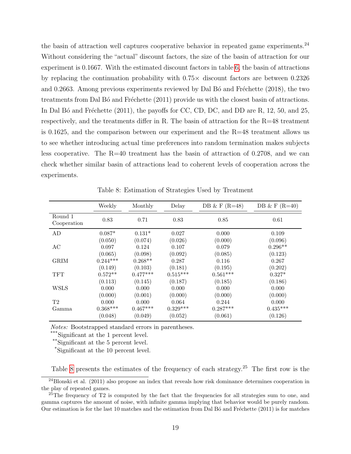the basin of attraction well captures cooperative behavior in repeated game experiments.<sup>24</sup> Without considering the "actual" discount factors, the size of the basin of attraction for our experiment is 0.1667. With the estimated discount factors in table [6,](#page-15-0) the basin of attractions by replacing the continuation probability with  $0.75\times$  discount factors are between 0.2326 and 0.2663. Among previous experiments reviewed by Dal B $\acute{o}$  and Fréchette (2018), the two treatments from Dal B<sup>o</sup> and Fréchette (2011) provide us with the closest basin of attractions. In Dal B $\acute{o}$  and Fréchette (2011), the payoffs for CC, CD, DC, and DD are R, 12, 50, and 25, respectively, and the treatments differ in R. The basin of attraction for the R=48 treatment is 0.1625, and the comparison between our experiment and the R=48 treatment allows us to see whether introducing actual time preferences into random termination makes subjects less cooperative. The  $R=40$  treatment has the basin of attraction of 0.2708, and we can check whether similar basin of attractions lead to coherent levels of cooperation across the experiments.

<span id="page-18-0"></span>

|                        | Weekly          | Monthly    | Delay      | DB & F $(R=48)$ | DB & F $(R=40)$ |
|------------------------|-----------------|------------|------------|-----------------|-----------------|
| Round 1<br>Cooperation | 0.83            | 0.71       | 0.83       | 0.85            | 0.61            |
| AD                     | $0.087*$        | $0.131*$   | 0.027      | 0.000           | 0.109           |
|                        | (0.050)         | (0.074)    | (0.026)    | (0.000)         | (0.096)         |
| AC                     | 0.097           | 0.124      | 0.107      | 0.079           | $0.296**$       |
|                        | (0.065)         | (0.098)    | (0.092)    | (0.085)         | (0.123)         |
| <b>GRIM</b>            | $0.244***$      | $0.268**$  | 0.287      | 0.116           | 0.267           |
|                        | (0.149)         | (0.103)    | (0.181)    | (0.195)         | (0.202)         |
| <b>TFT</b>             | $0.572**$       | $0.477***$ | $0.515***$ | $0.561^{***}\,$ | $0.327*$        |
|                        | (0.113)         | (0.145)    | (0.187)    | (0.185)         | (0.186)         |
| <b>WSLS</b>            | 0.000           | 0.000      | 0.000      | 0.000           | 0.000           |
|                        | (0.000)         | (0.001)    | (0.000)    | (0.000)         | (0.000)         |
| T2                     | 0.000           | 0.000      | 0.064      | 0.244           | 0.000           |
| Gamma                  | $0.368^{***}\,$ | $0.467***$ | $0.329***$ | $0.287***$      | $0.435***$      |
|                        | (0.048)         | (0.049)    | (0.052)    | (0.061)         | (0.126)         |

Table 8: Estimation of Strategies Used by Treatment

Notes: Bootstrapped standard errors in parentheses.

\*\*\*Significant at the 1 percent level.

\*\*Significant at the 5 percent level.

\*Significant at the 10 percent level.

Table [8](#page-18-0) presents the estimates of the frequency of each strategy.<sup>25</sup> The first row is the

 $^{24}$ Blonski et al. (2011) also propose an index that reveals how risk dominance determines cooperation in the play of repeated games.

<sup>&</sup>lt;sup>25</sup>The frequency of T2 is computed by the fact that the frequencies for all strategies sum to one, and gamma captures the amount of noise, with infinite gamma implying that behavior would be purely random. Our estimation is for the last 10 matches and the estimation from Dal Bó and Fréchette (2011) is for matches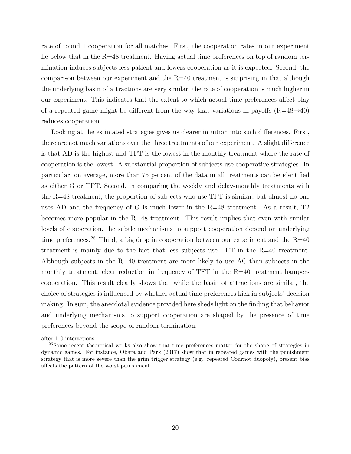rate of round 1 cooperation for all matches. First, the cooperation rates in our experiment lie below that in the R=48 treatment. Having actual time preferences on top of random termination induces subjects less patient and lowers cooperation as it is expected. Second, the comparison between our experiment and the R=40 treatment is surprising in that although the underlying basin of attractions are very similar, the rate of cooperation is much higher in our experiment. This indicates that the extent to which actual time preferences affect play of a repeated game might be different from the way that variations in payoffs  $(R=48 \rightarrow 40)$ reduces cooperation.

Looking at the estimated strategies gives us clearer intuition into such differences. First, there are not much variations over the three treatments of our experiment. A slight difference is that AD is the highest and TFT is the lowest in the monthly treatment where the rate of cooperation is the lowest. A substantial proportion of subjects use cooperative strategies. In particular, on average, more than 75 percent of the data in all treatments can be identified as either G or TFT. Second, in comparing the weekly and delay-monthly treatments with the R=48 treatment, the proportion of subjects who use TFT is similar, but almost no one uses AD and the frequency of G is much lower in the R=48 treatment. As a result, T2 becomes more popular in the R=48 treatment. This result implies that even with similar levels of cooperation, the subtle mechanisms to support cooperation depend on underlying time preferences.<sup>26</sup> Third, a big drop in cooperation between our experiment and the  $R=40$ treatment is mainly due to the fact that less subjects use TFT in the R=40 treatment. Although subjects in the R=40 treatment are more likely to use AC than subjects in the monthly treatment, clear reduction in frequency of TFT in the R=40 treatment hampers cooperation. This result clearly shows that while the basin of attractions are similar, the choice of strategies is influenced by whether actual time preferences kick in subjects' decision making. In sum, the anecdotal evidence provided here sheds light on the finding that behavior and underlying mechanisms to support cooperation are shaped by the presence of time preferences beyond the scope of random termination.

after 110 interactions.

<sup>&</sup>lt;sup>26</sup>Some recent theoretical works also show that time preferences matter for the shape of strategies in dynamic games. For instance, Obara and Park (2017) show that in repeated games with the punishment strategy that is more severe than the grim trigger strategy (e.g., repeated Cournot duopoly), present bias affects the pattern of the worst punishment.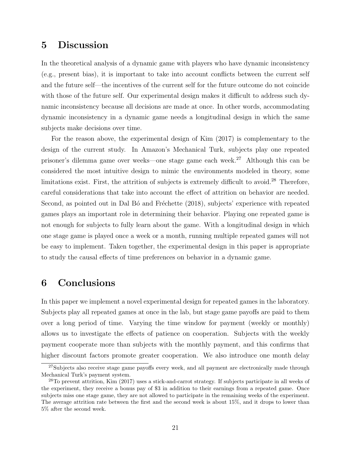## 5 Discussion

In the theoretical analysis of a dynamic game with players who have dynamic inconsistency (e.g., present bias), it is important to take into account conflicts between the current self and the future self—the incentives of the current self for the future outcome do not coincide with those of the future self. Our experimental design makes it difficult to address such dynamic inconsistency because all decisions are made at once. In other words, accommodating dynamic inconsistency in a dynamic game needs a longitudinal design in which the same subjects make decisions over time.

For the reason above, the experimental design of Kim (2017) is complementary to the design of the current study. In Amazon's Mechanical Turk, subjects play one repeated prisoner's dilemma game over weeks—one stage game each week.<sup>27</sup> Although this can be considered the most intuitive design to mimic the environments modeled in theory, some limitations exist. First, the attrition of subjects is extremely difficult to avoid.<sup>28</sup> Therefore, careful considerations that take into account the effect of attrition on behavior are needed. Second, as pointed out in Dal B<sub>o</sub> and Fréchette (2018), subjects' experience with repeated games plays an important role in determining their behavior. Playing one repeated game is not enough for subjects to fully learn about the game. With a longitudinal design in which one stage game is played once a week or a month, running multiple repeated games will not be easy to implement. Taken together, the experimental design in this paper is appropriate to study the causal effects of time preferences on behavior in a dynamic game.

## 6 Conclusions

In this paper we implement a novel experimental design for repeated games in the laboratory. Subjects play all repeated games at once in the lab, but stage game payoffs are paid to them over a long period of time. Varying the time window for payment (weekly or monthly) allows us to investigate the effects of patience on cooperation. Subjects with the weekly payment cooperate more than subjects with the monthly payment, and this confirms that higher discount factors promote greater cooperation. We also introduce one month delay

 $27$ Subjects also receive stage game payoffs every week, and all payment are electronically made through Mechanical Turk's payment system.

<sup>28</sup>To prevent attrition, Kim (2017) uses a stick-and-carrot strategy. If subjects participate in all weeks of the experiment, they receive a bonus pay of \$3 in addition to their earnings from a repeated game. Once subjects miss one stage game, they are not allowed to participate in the remaining weeks of the experiment. The average attrition rate between the first and the second week is about 15%, and it drops to lower than 5% after the second week.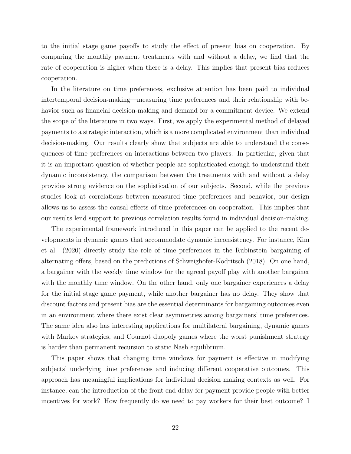to the initial stage game payoffs to study the effect of present bias on cooperation. By comparing the monthly payment treatments with and without a delay, we find that the rate of cooperation is higher when there is a delay. This implies that present bias reduces cooperation.

In the literature on time preferences, exclusive attention has been paid to individual intertemporal decision-making—measuring time preferences and their relationship with behavior such as financial decision-making and demand for a commitment device. We extend the scope of the literature in two ways. First, we apply the experimental method of delayed payments to a strategic interaction, which is a more complicated environment than individual decision-making. Our results clearly show that subjects are able to understand the consequences of time preferences on interactions between two players. In particular, given that it is an important question of whether people are sophisticated enough to understand their dynamic inconsistency, the comparison between the treatments with and without a delay provides strong evidence on the sophistication of our subjects. Second, while the previous studies look at correlations between measured time preferences and behavior, our design allows us to assess the causal effects of time preferences on cooperation. This implies that our results lend support to previous correlation results found in individual decision-making.

The experimental framework introduced in this paper can be applied to the recent developments in dynamic games that accommodate dynamic inconsistency. For instance, Kim et al. (2020) directly study the role of time preferences in the Rubinstein bargaining of alternating offers, based on the predictions of Schweighofer-Kodritsch (2018). On one hand, a bargainer with the weekly time window for the agreed payoff play with another bargainer with the monthly time window. On the other hand, only one bargainer experiences a delay for the initial stage game payment, while another bargainer has no delay. They show that discount factors and present bias are the essential determinants for bargaining outcomes even in an environment where there exist clear asymmetries among bargainers' time preferences. The same idea also has interesting applications for multilateral bargaining, dynamic games with Markov strategies, and Cournot duopoly games where the worst punishment strategy is harder than permanent recursion to static Nash equilibrium.

This paper shows that changing time windows for payment is effective in modifying subjects' underlying time preferences and inducing different cooperative outcomes. This approach has meaningful implications for individual decision making contexts as well. For instance, can the introduction of the front end delay for payment provide people with better incentives for work? How frequently do we need to pay workers for their best outcome? I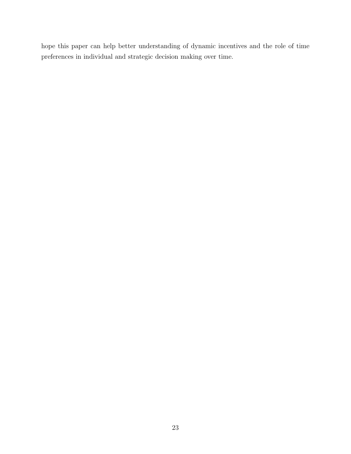hope this paper can help better understanding of dynamic incentives and the role of time preferences in individual and strategic decision making over time.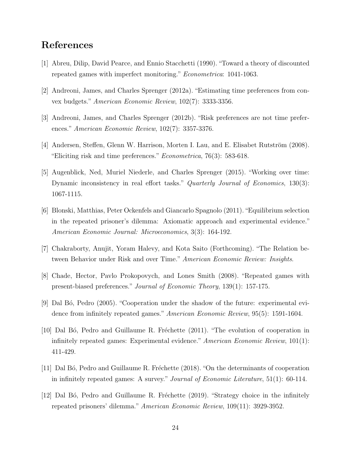## References

- [1] Abreu, Dilip, David Pearce, and Ennio Stacchetti (1990). "Toward a theory of discounted repeated games with imperfect monitoring." Econometrica: 1041-1063.
- [2] Andreoni, James, and Charles Sprenger (2012a). "Estimating time preferences from convex budgets." American Economic Review, 102(7): 3333-3356.
- [3] Andreoni, James, and Charles Sprenger (2012b). "Risk preferences are not time preferences." American Economic Review, 102(7): 3357-3376.
- [4] Andersen, Steffen, Glenn W. Harrison, Morten I. Lau, and E. Elisabet Rutström (2008). "Eliciting risk and time preferences."  $Econometrica$ , 76(3): 583-618.
- [5] Augenblick, Ned, Muriel Niederle, and Charles Sprenger (2015). "Working over time: Dynamic inconsistency in real effort tasks." Quarterly Journal of Economics, 130(3): 1067-1115.
- [6] Blonski, Matthias, Peter Ockenfels and Giancarlo Spagnolo (2011)."Equilibrium selection in the repeated prisoner's dilemma: Axiomatic approach and experimental evidence." American Economic Journal: Microeconomics, 3(3): 164-192.
- [7] Chakraborty, Anujit, Yoram Halevy, and Kota Saito (Forthcoming). "The Relation between Behavior under Risk and over Time." American Economic Review: Insights.
- [8] Chade, Hector, Pavlo Prokopovych, and Lones Smith (2008). "Repeated games with present-biased preferences." Journal of Economic Theory, 139(1): 157-175.
- [9] Dal Bó, Pedro (2005). "Cooperation under the shadow of the future: experimental evidence from infinitely repeated games." American Economic Review, 95(5): 1591-1604.
- [10] Dal Bó, Pedro and Guillaume R. Fréchette (2011). "The evolution of cooperation in infinitely repeated games: Experimental evidence." American Economic Review, 101(1): 411-429.
- [11] Dal Bó, Pedro and Guillaume R. Fréchette (2018). "On the determinants of cooperation in infinitely repeated games: A survey." *Journal of Economic Literature*, 51(1): 60-114.
- [12] Dal Bó, Pedro and Guillaume R. Fréchette (2019). "Strategy choice in the infinitely repeated prisoners' dilemma." American Economic Review, 109(11): 3929-3952.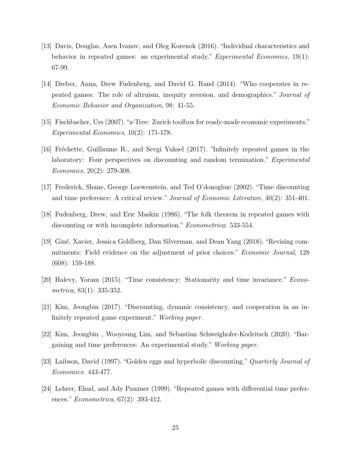- [13] Davis, Douglas, Asen Ivanov, and Oleg Korenok (2016). "Individual characteristics and behavior in repeated games: an experimental study." Experimental Economics, 19(1): 67-99.
- [14] Dreber, Anna, Drew Fudenberg, and David G. Rand (2014). "Who cooperates in repeated games: The role of altruism, inequity aversion, and demographics." Journal of Economic Behavior and Organization, 98: 41-55.
- [15] Fischbacher, Urs (2007)."z-Tree: Zurich toolbox for ready-made economic experiments." Experimental Economics, 10(2): 171-178.
- [16] Fréchette, Guillaume R., and Sevgi Yuksel (2017). "Infinitely repeated games in the laboratory: Four perspectives on discounting and random termination." *Experimental* Economics, 20(2): 279-308.
- [17] Frederick, Shane, George Loewenstein, and Ted O'donoghue (2002). "Time discounting and time preference: A critical review." Journal of Economic Literature, 40(2): 351-401.
- [18] Fudenberg, Drew, and Eric Maskin (1986). "The folk theorem in repeated games with discounting or with incomplete information." Econometrica: 533-554.
- [19] Gin´e, Xavier, Jessica Goldberg, Dan Silverman, and Dean Yang (2018). "Revising commitments: Field evidence on the adjustment of prior choices." Economic Journal, 128 (608): 159-188.
- [20] Halevy, Yoram (2015). "Time consistency: Stationarity and time invariance." Econometrica, 83(1): 335-352.
- [21] Kim, Jeongbin (2017). "Discounting, dynamic consistency, and cooperation in an infinitely repeated game experiment." Working paper.
- [22] Kim, Jeongbin , Wooyoung Lim, and Sebastian Schweighofer-Kodritsch (2020). "Bargaining and time preferences: An experimental study." Working paper.
- [23] Laibson, David (1997). "Golden eggs and hyperbolic discounting." Quarterly Journal of Economics: 443-477.
- [24] Lehrer, Ehud, and Ady Pauzner (1999). "Repeated games with differential time preferences." *Econometrica*, 67(2): 393-412.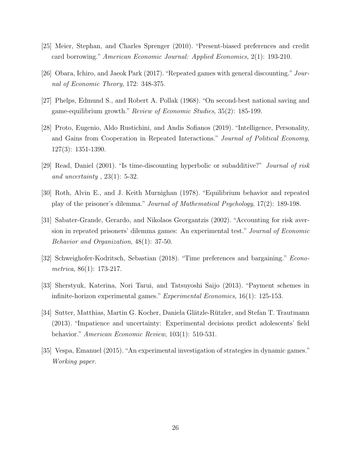- [25] Meier, Stephan, and Charles Sprenger (2010). "Present-biased preferences and credit card borrowing." American Economic Journal: Applied Economics, 2(1): 193-210.
- [26] Obara, Ichiro, and Jaeok Park (2017)."Repeated games with general discounting." Journal of Economic Theory, 172: 348-375.
- [27] Phelps, Edmund S., and Robert A. Pollak (1968). "On second-best national saving and game-equilibrium growth." Review of Economic Studies, 35(2): 185-199.
- [28] Proto, Eugenio, Aldo Rustichini, and Andis Sofianos (2019). "Intelligence, Personality, and Gains from Cooperation in Repeated Interactions." Journal of Political Economy, 127(3): 1351-1390.
- [29] Read, Daniel (2001). "Is time-discounting hyperbolic or subadditive?" Journal of risk and uncertainty,  $23(1)$ : 5-32.
- [30] Roth, Alvin E., and J. Keith Murnighan (1978). "Equilibrium behavior and repeated play of the prisoner's dilemma." Journal of Mathematical Psychology, 17(2): 189-198.
- [31] Sabater-Grande, Gerardo, and Nikolaos Georgantzis (2002). "Accounting for risk aversion in repeated prisoners' dilemma games: An experimental test." Journal of Economic Behavior and Organization, 48(1): 37-50.
- [32] Schweighofer-Kodritsch, Sebastian (2018). "Time preferences and bargaining." Econometrica, 86(1): 173-217.
- [33] Sherstyuk, Katerina, Nori Tarui, and Tatsuyoshi Saijo (2013). "Payment schemes in infinite-horizon experimental games." Experimental Economics, 16(1): 125-153.
- [34] Sutter, Matthias, Martin G. Kocher, Daniela Glätzle-Rützler, and Stefan T. Trautmann (2013). "Impatience and uncertainty: Experimental decisions predict adolescents' field behavior." American Economic Review, 103(1): 510-531.
- [35] Vespa, Emanuel (2015). "An experimental investigation of strategies in dynamic games." Working paper.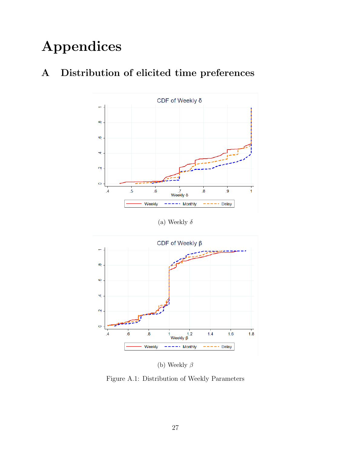# Appendices



# <span id="page-26-0"></span>A Distribution of elicited time preferences

(a) Weekly  $\delta$ 



(b) Weekly  $\beta$ 

Figure A.1: Distribution of Weekly Parameters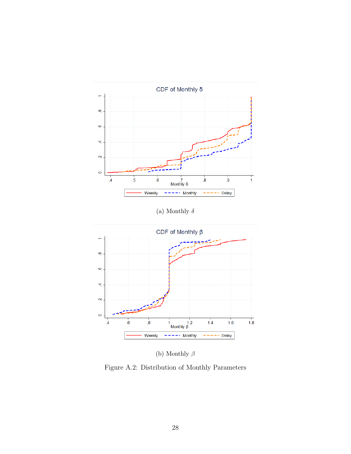<span id="page-27-0"></span>

(a) Monthly  $\delta$ 



(b) Monthly  $\beta$ 

Figure A.2: Distribution of Monthly Parameters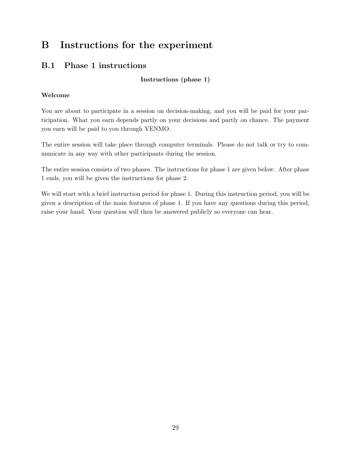# B Instructions for the experiment

## B.1 Phase 1 instructions

Instructions (phase 1)

#### Welcome

You are about to participate in a session on decision-making, and you will be paid for your participation. What you earn depends partly on your decisions and partly on chance. The payment you earn will be paid to you through VENMO.

The entire session will take place through computer terminals. Please do not talk or try to communicate in any way with other participants during the session.

The entire session consists of two phases. The instructions for phase 1 are given below. After phase 1 ends, you will be given the instructions for phase 2.

We will start with a brief instruction period for phase 1. During this instruction period, you will be given a description of the main features of phase 1. If you have any questions during this period, raise your hand. Your question will then be answered publicly so everyone can hear.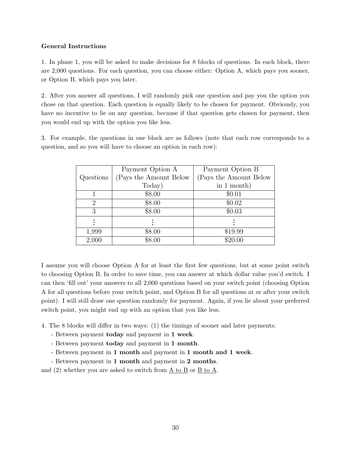#### General Instructions

1. In phase 1, you will be asked to make decisions for 8 blocks of questions. In each block, there are 2,000 questions. For each question, you can choose either: Option A, which pays you sooner, or Option B, which pays you later.

2. After you answer all questions, I will randomly pick one question and pay you the option you chose on that question. Each question is equally likely to be chosen for payment. Obviously, you have no incentive to lie on any question, because if that question gets chosen for payment, then you would end up with the option you like less.

3. For example, the questions in one block are as follows (note that each row corresponds to a question, and so you will have to choose an option in each row):

|           | Payment Option A        | Payment Option B       |
|-----------|-------------------------|------------------------|
| Questions | (Pays the Amount Below) | (Pays the Amount Below |
|           | Today)                  | in $1$ month)          |
|           | \$8.00                  | \$0.01                 |
| 2         | \$8.00                  | \$0.02                 |
| 3         | \$8.00                  | \$0.03                 |
|           |                         |                        |
| 1,999     | \$8.00                  | \$19.99                |
| 2,000     | \$8.00                  | \$20.00                |

I assume you will choose Option A for at least the first few questions, but at some point switch to choosing Option B. In order to save time, you can answer at which dollar value you'd switch. I can then 'fill out' your answers to all 2,000 questions based on your switch point (choosing Option A for all questions before your switch point, and Option B for all questions at or after your switch point). I will still draw one question randomly for payment. Again, if you lie about your preferred switch point, you might end up with an option that you like less.

- 4. The 8 blocks will differ in two ways: (1) the timings of sooner and later payments:
	- Between payment today and payment in 1 week.
	- Between payment today and payment in 1 month.
	- Between payment in 1 month and payment in 1 month and 1 week.
	- Between payment in 1 month and payment in 2 months.

and (2) whether you are asked to switch from A to B or B to A.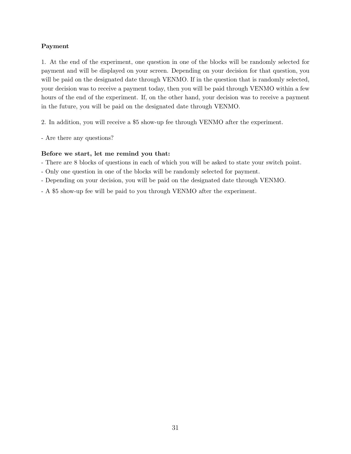#### Payment

1. At the end of the experiment, one question in one of the blocks will be randomly selected for payment and will be displayed on your screen. Depending on your decision for that question, you will be paid on the designated date through VENMO. If in the question that is randomly selected, your decision was to receive a payment today, then you will be paid through VENMO within a few hours of the end of the experiment. If, on the other hand, your decision was to receive a payment in the future, you will be paid on the designated date through VENMO.

2. In addition, you will receive a \$5 show-up fee through VENMO after the experiment.

- Are there any questions?

#### Before we start, let me remind you that:

- There are 8 blocks of questions in each of which you will be asked to state your switch point.
- Only one question in one of the blocks will be randomly selected for payment.
- Depending on your decision, you will be paid on the designated date through VENMO.
- A \$5 show-up fee will be paid to you through VENMO after the experiment.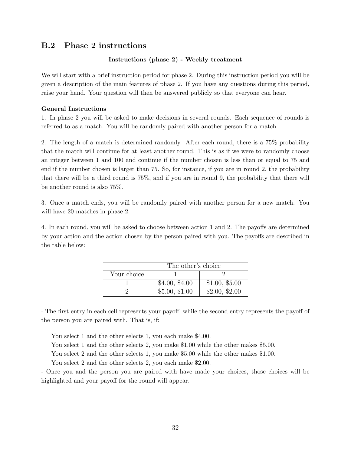#### B.2 Phase 2 instructions

#### Instructions (phase 2) - Weekly treatment

We will start with a brief instruction period for phase 2. During this instruction period you will be given a description of the main features of phase 2. If you have any questions during this period, raise your hand. Your question will then be answered publicly so that everyone can hear.

#### General Instructions

1. In phase 2 you will be asked to make decisions in several rounds. Each sequence of rounds is referred to as a match. You will be randomly paired with another person for a match.

2. The length of a match is determined randomly. After each round, there is a 75% probability that the match will continue for at least another round. This is as if we were to randomly choose an integer between 1 and 100 and continue if the number chosen is less than or equal to 75 and end if the number chosen is larger than 75. So, for instance, if you are in round 2, the probability that there will be a third round is 75%, and if you are in round 9, the probability that there will be another round is also 75%.

3. Once a match ends, you will be randomly paired with another person for a new match. You will have 20 matches in phase 2.

4. In each round, you will be asked to choose between action 1 and 2. The payoffs are determined by your action and the action chosen by the person paired with you. The payoffs are described in the table below:

|             | The other's choice |                |  |
|-------------|--------------------|----------------|--|
| Your choice |                    |                |  |
|             | \$4.00, \$4.00     | \$1.00, \$5.00 |  |
|             | \$5.00, \$1.00     | \$2.00, \$2.00 |  |

- The first entry in each cell represents your payoff, while the second entry represents the payoff of the person you are paired with. That is, if:

You select 1 and the other selects 1, you each make \$4.00.

You select 1 and the other selects 2, you make \$1.00 while the other makes \$5.00.

You select 2 and the other selects 1, you make \$5.00 while the other makes \$1.00.

You select 2 and the other selects 2, you each make \$2.00.

- Once you and the person you are paired with have made your choices, those choices will be highlighted and your payoff for the round will appear.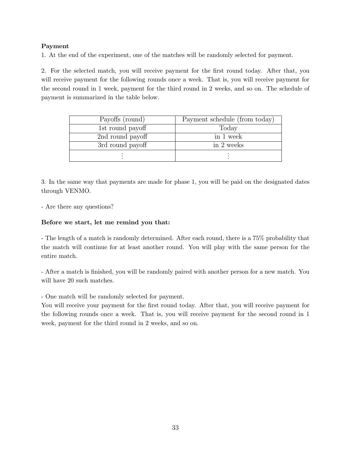#### Payment

1. At the end of the experiment, one of the matches will be randomly selected for payment.

2. For the selected match, you will receive payment for the first round today. After that, you will receive payment for the following rounds once a week. That is, you will receive payment for the second round in 1 week, payment for the third round in 2 weeks, and so on. The schedule of payment is summarized in the table below.

| Payoffs (round)  | Payment schedule (from today) |
|------------------|-------------------------------|
| 1st round payoff | Today                         |
| 2nd round payoff | in 1 week                     |
| 3rd round payoff | in 2 weeks                    |
|                  |                               |

3. In the same way that payments are made for phase 1, you will be paid on the designated dates through VENMO.

- Are there any questions?

#### Before we start, let me remind you that:

- The length of a match is randomly determined. After each round, there is a 75% probability that the match will continue for at least another round. You will play with the same person for the entire match.

- After a match is finished, you will be randomly paired with another person for a new match. You will have 20 such matches.

- One match will be randomly selected for payment.

You will receive your payment for the first round today. After that, you will receive payment for the following rounds once a week. That is, you will receive payment for the second round in 1 week, payment for the third round in 2 weeks, and so on.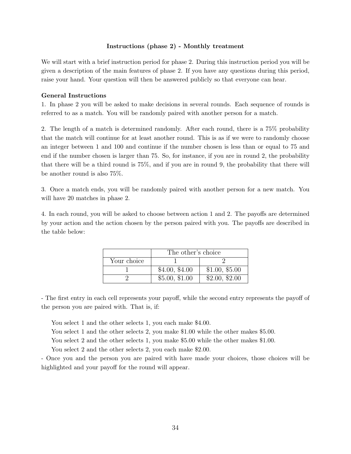#### Instructions (phase 2) - Monthly treatment

We will start with a brief instruction period for phase 2. During this instruction period you will be given a description of the main features of phase 2. If you have any questions during this period, raise your hand. Your question will then be answered publicly so that everyone can hear.

#### General Instructions

1. In phase 2 you will be asked to make decisions in several rounds. Each sequence of rounds is referred to as a match. You will be randomly paired with another person for a match.

2. The length of a match is determined randomly. After each round, there is a 75% probability that the match will continue for at least another round. This is as if we were to randomly choose an integer between 1 and 100 and continue if the number chosen is less than or equal to 75 and end if the number chosen is larger than 75. So, for instance, if you are in round 2, the probability that there will be a third round is 75%, and if you are in round 9, the probability that there will be another round is also 75%.

3. Once a match ends, you will be randomly paired with another person for a new match. You will have 20 matches in phase 2.

4. In each round, you will be asked to choose between action 1 and 2. The payoffs are determined by your action and the action chosen by the person paired with you. The payoffs are described in the table below:

|             | The other's choice |                |
|-------------|--------------------|----------------|
| Your choice |                    |                |
|             | \$4.00, \$4.00     | \$1.00, \$5.00 |
|             | \$5.00, \$1.00     | \$2.00, \$2.00 |

- The first entry in each cell represents your payoff, while the second entry represents the payoff of the person you are paired with. That is, if:

You select 1 and the other selects 1, you each make \$4.00.

You select 1 and the other selects 2, you make \$1.00 while the other makes \$5.00.

You select 2 and the other selects 1, you make \$5.00 while the other makes \$1.00.

You select 2 and the other selects 2, you each make \$2.00.

- Once you and the person you are paired with have made your choices, those choices will be highlighted and your payoff for the round will appear.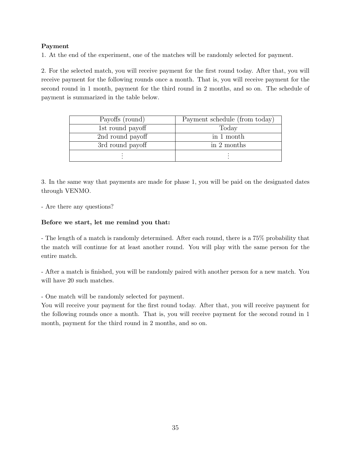#### Payment

1. At the end of the experiment, one of the matches will be randomly selected for payment.

2. For the selected match, you will receive payment for the first round today. After that, you will receive payment for the following rounds once a month. That is, you will receive payment for the second round in 1 month, payment for the third round in 2 months, and so on. The schedule of payment is summarized in the table below.

| Payoffs (round)  | Payment schedule (from today) |
|------------------|-------------------------------|
| 1st round payoff | Today                         |
| 2nd round payoff | in 1 month                    |
| 3rd round payoff | in 2 months                   |
|                  |                               |

3. In the same way that payments are made for phase 1, you will be paid on the designated dates through VENMO.

- Are there any questions?

#### Before we start, let me remind you that:

- The length of a match is randomly determined. After each round, there is a 75% probability that the match will continue for at least another round. You will play with the same person for the entire match.

- After a match is finished, you will be randomly paired with another person for a new match. You will have 20 such matches.

- One match will be randomly selected for payment.

You will receive your payment for the first round today. After that, you will receive payment for the following rounds once a month. That is, you will receive payment for the second round in 1 month, payment for the third round in 2 months, and so on.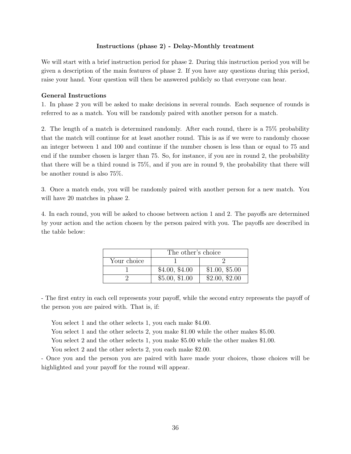#### Instructions (phase 2) - Delay-Monthly treatment

We will start with a brief instruction period for phase 2. During this instruction period you will be given a description of the main features of phase 2. If you have any questions during this period, raise your hand. Your question will then be answered publicly so that everyone can hear.

#### General Instructions

1. In phase 2 you will be asked to make decisions in several rounds. Each sequence of rounds is referred to as a match. You will be randomly paired with another person for a match.

2. The length of a match is determined randomly. After each round, there is a 75% probability that the match will continue for at least another round. This is as if we were to randomly choose an integer between 1 and 100 and continue if the number chosen is less than or equal to 75 and end if the number chosen is larger than 75. So, for instance, if you are in round 2, the probability that there will be a third round is 75%, and if you are in round 9, the probability that there will be another round is also 75%.

3. Once a match ends, you will be randomly paired with another person for a new match. You will have 20 matches in phase 2.

4. In each round, you will be asked to choose between action 1 and 2. The payoffs are determined by your action and the action chosen by the person paired with you. The payoffs are described in the table below:

|             | The other's choice |                |
|-------------|--------------------|----------------|
| Your choice |                    |                |
|             | \$4.00, \$4.00     | \$1.00, \$5.00 |
|             | \$5.00, \$1.00     | \$2.00, \$2.00 |

- The first entry in each cell represents your payoff, while the second entry represents the payoff of the person you are paired with. That is, if:

You select 1 and the other selects 1, you each make \$4.00.

You select 1 and the other selects 2, you make \$1.00 while the other makes \$5.00.

You select 2 and the other selects 1, you make \$5.00 while the other makes \$1.00.

You select 2 and the other selects 2, you each make \$2.00.

- Once you and the person you are paired with have made your choices, those choices will be highlighted and your payoff for the round will appear.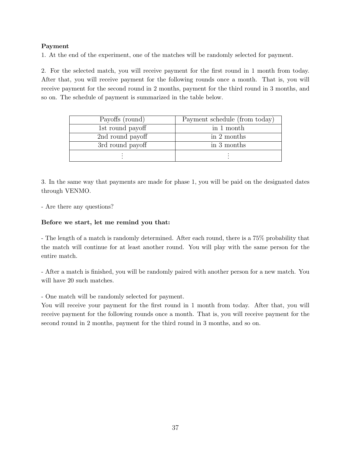#### Payment

1. At the end of the experiment, one of the matches will be randomly selected for payment.

2. For the selected match, you will receive payment for the first round in 1 month from today. After that, you will receive payment for the following rounds once a month. That is, you will receive payment for the second round in 2 months, payment for the third round in 3 months, and so on. The schedule of payment is summarized in the table below.

| Payoffs (round)  | Payment schedule (from today) |
|------------------|-------------------------------|
| 1st round payoff | in 1 month                    |
| 2nd round payoff | in 2 months                   |
| 3rd round payoff | in 3 months                   |
|                  |                               |

3. In the same way that payments are made for phase 1, you will be paid on the designated dates through VENMO.

- Are there any questions?

#### Before we start, let me remind you that:

- The length of a match is randomly determined. After each round, there is a 75% probability that the match will continue for at least another round. You will play with the same person for the entire match.

- After a match is finished, you will be randomly paired with another person for a new match. You will have 20 such matches.

- One match will be randomly selected for payment.

You will receive your payment for the first round in 1 month from today. After that, you will receive payment for the following rounds once a month. That is, you will receive payment for the second round in 2 months, payment for the third round in 3 months, and so on.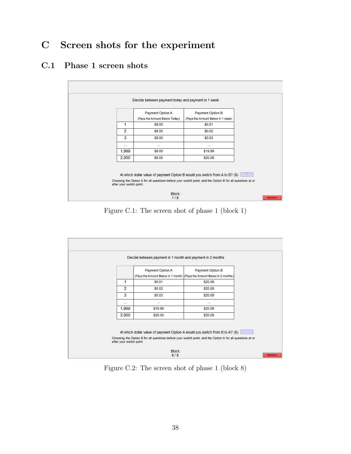# C Screen shots for the experiment

### C.1 Phase 1 screen shots



Figure C.1: The screen shot of phase 1 (block 1)



Figure C.2: The screen shot of phase 1 (block 8)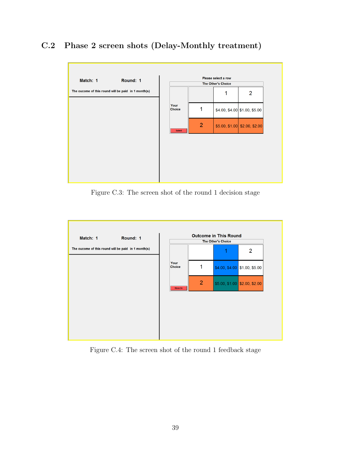## C.2 Phase 2 screen shots (Delay-Monthly treatment)



Figure C.3: The screen shot of the round 1 decision stage



Figure C.4: The screen shot of the round 1 feedback stage